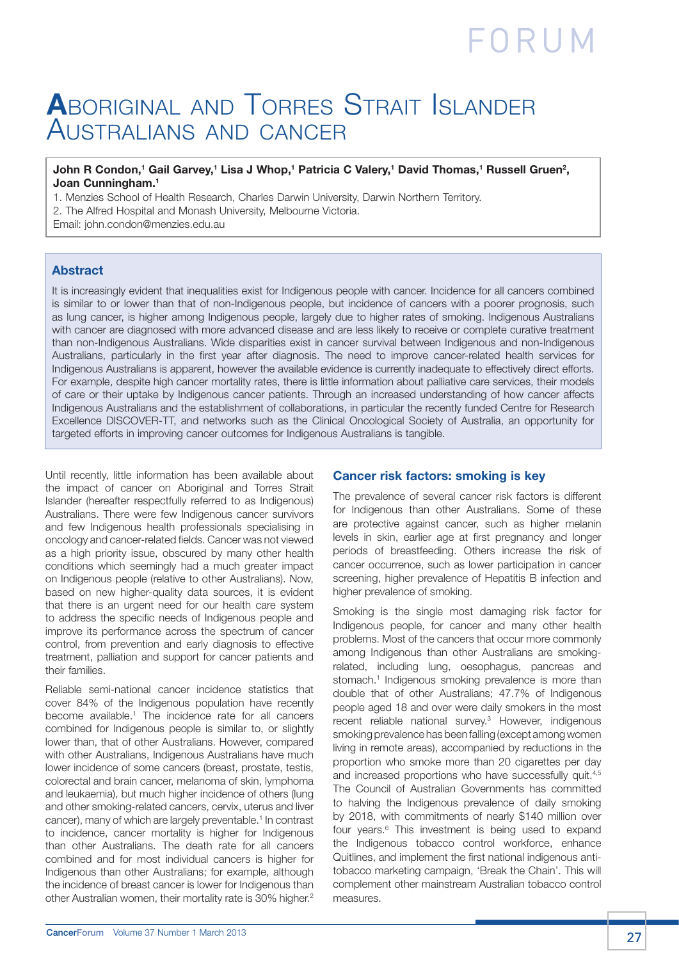### **A**boriginal and Torres Strait Islander Australians and cancer

#### $J$ ohn R Condon,<sup>1</sup> Gail Garvey,<sup>1</sup> Lisa J Whop,<sup>1</sup> Patricia C Valery,<sup>1</sup> David Thomas,<sup>1</sup> Russell Gruen<sup>2</sup>, **Joan Cunningham.1**

1. Menzies School of Health Research, Charles Darwin University, Darwin Northern Territory.

2. The Alfred Hospital and Monash University, Melbourne Victoria.

Email: john.condon@menzies.edu.au

#### **Abstract**

It is increasingly evident that inequalities exist for Indigenous people with cancer. Incidence for all cancers combined is similar to or lower than that of non-Indigenous people, but incidence of cancers with a poorer prognosis, such as lung cancer, is higher among Indigenous people, largely due to higher rates of smoking. Indigenous Australians with cancer are diagnosed with more advanced disease and are less likely to receive or complete curative treatment than non-Indigenous Australians. Wide disparities exist in cancer survival between Indigenous and non-Indigenous Australians, particularly in the first year after diagnosis. The need to improve cancer-related health services for Indigenous Australians is apparent, however the available evidence is currently inadequate to effectively direct efforts. For example, despite high cancer mortality rates, there is little information about palliative care services, their models of care or their uptake by Indigenous cancer patients. Through an increased understanding of how cancer affects Indigenous Australians and the establishment of collaborations, in particular the recently funded Centre for Research Excellence DISCOVER-TT, and networks such as the Clinical Oncological Society of Australia, an opportunity for targeted efforts in improving cancer outcomes for Indigenous Australians is tangible.

Until recently, little information has been available about the impact of cancer on Aboriginal and Torres Strait Islander (hereafter respectfully referred to as Indigenous) Australians. There were few Indigenous cancer survivors and few Indigenous health professionals specialising in oncology and cancer-related fields. Cancer was not viewed as a high priority issue, obscured by many other health conditions which seemingly had a much greater impact on Indigenous people (relative to other Australians). Now, based on new higher-quality data sources, it is evident that there is an urgent need for our health care system to address the specific needs of Indigenous people and improve its performance across the spectrum of cancer control, from prevention and early diagnosis to effective treatment, palliation and support for cancer patients and their families.

Reliable semi-national cancer incidence statistics that cover 84% of the Indigenous population have recently become available.<sup>1</sup> The incidence rate for all cancers combined for Indigenous people is similar to, or slightly lower than, that of other Australians. However, compared with other Australians, Indigenous Australians have much lower incidence of some cancers (breast, prostate, testis, colorectal and brain cancer, melanoma of skin, lymphoma and leukaemia), but much higher incidence of others (lung and other smoking-related cancers, cervix, uterus and liver cancer), many of which are largely preventable.<sup>1</sup> In contrast to incidence, cancer mortality is higher for Indigenous than other Australians. The death rate for all cancers combined and for most individual cancers is higher for Indigenous than other Australians; for example, although the incidence of breast cancer is lower for Indigenous than other Australian women, their mortality rate is 30% higher.<sup>2</sup>

#### **Cancer risk factors: smoking is key**

The prevalence of several cancer risk factors is different for Indigenous than other Australians. Some of these are protective against cancer, such as higher melanin levels in skin, earlier age at first pregnancy and longer periods of breastfeeding. Others increase the risk of cancer occurrence, such as lower participation in cancer screening, higher prevalence of Hepatitis B infection and higher prevalence of smoking.

Smoking is the single most damaging risk factor for Indigenous people, for cancer and many other health problems. Most of the cancers that occur more commonly among Indigenous than other Australians are smokingrelated, including lung, oesophagus, pancreas and stomach.<sup>1</sup> Indigenous smoking prevalence is more than double that of other Australians; 47.7% of Indigenous people aged 18 and over were daily smokers in the most recent reliable national survey.<sup>3</sup> However, indigenous smoking prevalence has been falling (except among women living in remote areas), accompanied by reductions in the proportion who smoke more than 20 cigarettes per day and increased proportions who have successfully quit.<sup>4,5</sup> The Council of Australian Governments has committed to halving the Indigenous prevalence of daily smoking by 2018, with commitments of nearly \$140 million over four years.<sup>6</sup> This investment is being used to expand the Indigenous tobacco control workforce, enhance Quitlines, and implement the first national indigenous antitobacco marketing campaign, 'Break the Chain'. This will complement other mainstream Australian tobacco control measures.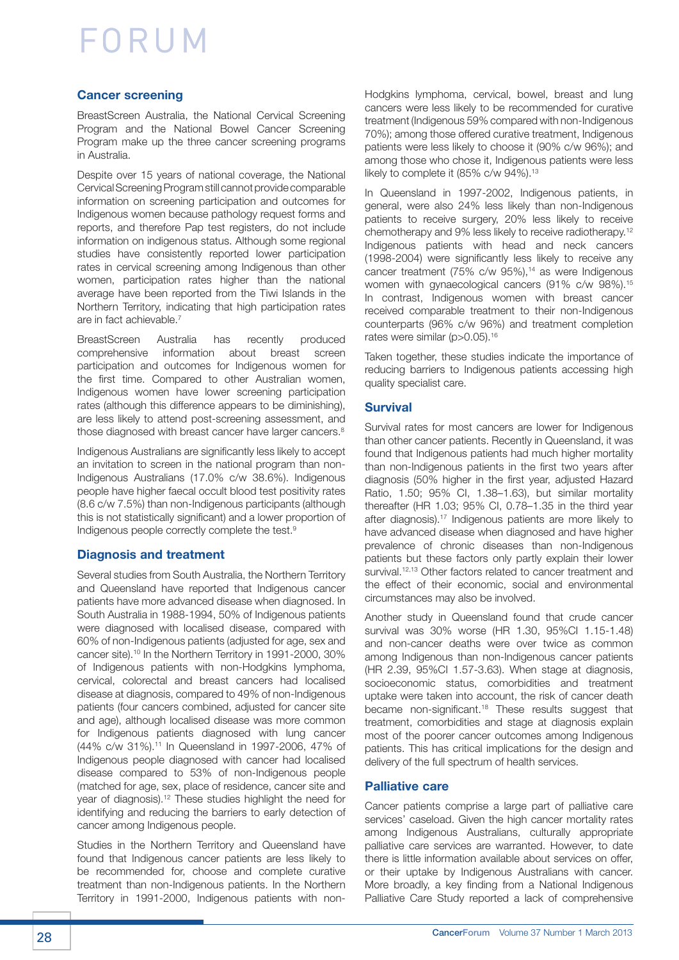#### **Cancer screening**

BreastScreen Australia, the National Cervical Screening Program and the National Bowel Cancer Screening Program make up the three cancer screening programs in Australia.

Despite over 15 years of national coverage, the National Cervical Screening Program still cannot provide comparable information on screening participation and outcomes for Indigenous women because pathology request forms and reports, and therefore Pap test registers, do not include information on indigenous status. Although some regional studies have consistently reported lower participation rates in cervical screening among Indigenous than other women, participation rates higher than the national average have been reported from the Tiwi Islands in the Northern Territory, indicating that high participation rates are in fact achievable.7

BreastScreen Australia has recently produced comprehensive information about breast screen participation and outcomes for Indigenous women for the first time. Compared to other Australian women, Indigenous women have lower screening participation rates (although this difference appears to be diminishing), are less likely to attend post-screening assessment, and those diagnosed with breast cancer have larger cancers.<sup>8</sup>

Indigenous Australians are significantly less likely to accept an invitation to screen in the national program than non-Indigenous Australians (17.0% c/w 38.6%). Indigenous people have higher faecal occult blood test positivity rates (8.6 c/w 7.5%) than non-Indigenous participants (although this is not statistically significant) and a lower proportion of Indigenous people correctly complete the test.9

#### **Diagnosis and treatment**

Several studies from South Australia, the Northern Territory and Queensland have reported that Indigenous cancer patients have more advanced disease when diagnosed. In South Australia in 1988-1994, 50% of Indigenous patients were diagnosed with localised disease, compared with 60% of non-Indigenous patients (adjusted for age, sex and cancer site).<sup>10</sup> In the Northern Territory in 1991-2000, 30% of Indigenous patients with non-Hodgkins lymphoma, cervical, colorectal and breast cancers had localised disease at diagnosis, compared to 49% of non-Indigenous patients (four cancers combined, adjusted for cancer site and age), although localised disease was more common for Indigenous patients diagnosed with lung cancer (44% c/w 31%).11 In Queensland in 1997-2006, 47% of Indigenous people diagnosed with cancer had localised disease compared to 53% of non-Indigenous people (matched for age, sex, place of residence, cancer site and year of diagnosis).12 These studies highlight the need for identifying and reducing the barriers to early detection of cancer among Indigenous people.

Studies in the Northern Territory and Queensland have found that Indigenous cancer patients are less likely to be recommended for, choose and complete curative treatment than non-Indigenous patients. In the Northern Territory in 1991-2000, Indigenous patients with nonHodgkins lymphoma, cervical, bowel, breast and lung cancers were less likely to be recommended for curative treatment (Indigenous 59% compared with non-Indigenous 70%); among those offered curative treatment, Indigenous patients were less likely to choose it (90% c/w 96%); and among those who chose it, Indigenous patients were less likely to complete it (85% c/w 94%).<sup>13</sup>

In Queensland in 1997-2002, Indigenous patients, in general, were also 24% less likely than non-Indigenous patients to receive surgery, 20% less likely to receive chemotherapy and 9% less likely to receive radiotherapy.12 Indigenous patients with head and neck cancers (1998-2004) were significantly less likely to receive any cancer treatment (75% c/w 95%),<sup>14</sup> as were Indigenous women with gynaecological cancers (91% c/w 98%).<sup>15</sup> In contrast, Indigenous women with breast cancer received comparable treatment to their non-Indigenous counterparts (96% c/w 96%) and treatment completion rates were similar (p>0.05).<sup>16</sup>

Taken together, these studies indicate the importance of reducing barriers to Indigenous patients accessing high quality specialist care.

#### **Survival**

Survival rates for most cancers are lower for Indigenous than other cancer patients. Recently in Queensland, it was found that Indigenous patients had much higher mortality than non-Indigenous patients in the first two years after diagnosis (50% higher in the first year, adjusted Hazard Ratio, 1.50; 95% CI, 1.38–1.63), but similar mortality thereafter (HR 1.03; 95% CI, 0.78–1.35 in the third year after diagnosis).17 Indigenous patients are more likely to have advanced disease when diagnosed and have higher prevalence of chronic diseases than non-Indigenous patients but these factors only partly explain their lower survival.<sup>12,13</sup> Other factors related to cancer treatment and the effect of their economic, social and environmental circumstances may also be involved.

Another study in Queensland found that crude cancer survival was 30% worse (HR 1.30, 95%CI 1.15-1.48) and non-cancer deaths were over twice as common among Indigenous than non-Indigenous cancer patients (HR 2.39, 95%CI 1.57-3.63). When stage at diagnosis, socioeconomic status, comorbidities and treatment uptake were taken into account, the risk of cancer death became non-significant.18 These results suggest that treatment, comorbidities and stage at diagnosis explain most of the poorer cancer outcomes among Indigenous patients. This has critical implications for the design and delivery of the full spectrum of health services.

#### **Palliative care**

Cancer patients comprise a large part of palliative care services' caseload. Given the high cancer mortality rates among Indigenous Australians, culturally appropriate palliative care services are warranted. However, to date there is little information available about services on offer, or their uptake by Indigenous Australians with cancer. More broadly, a key finding from a National Indigenous Palliative Care Study reported a lack of comprehensive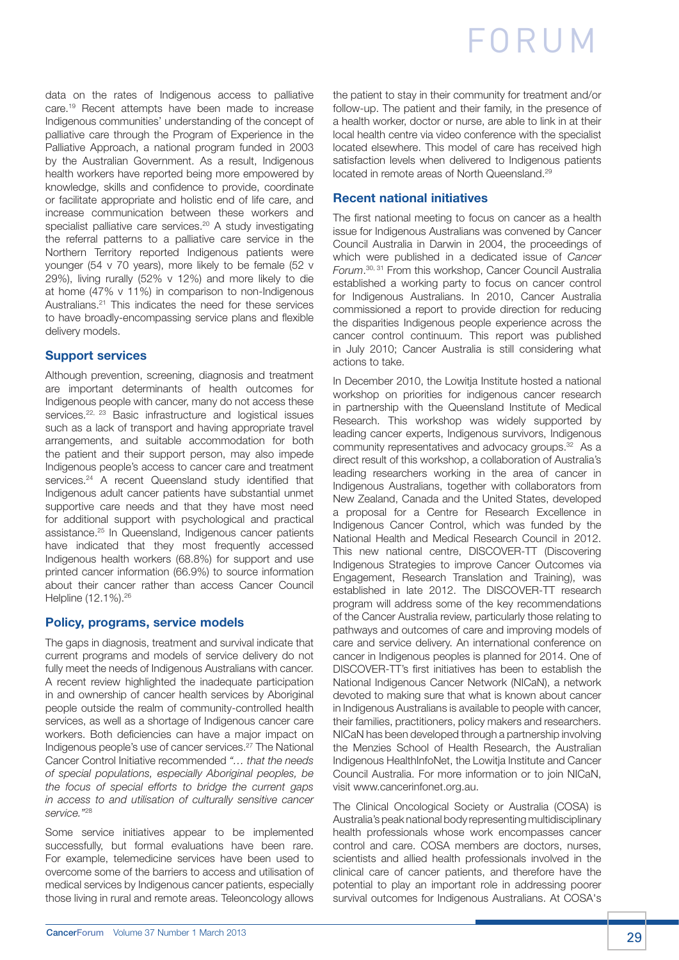data on the rates of Indigenous access to palliative care.19 Recent attempts have been made to increase Indigenous communities' understanding of the concept of palliative care through the Program of Experience in the Palliative Approach, a national program funded in 2003 by the Australian Government. As a result, Indigenous health workers have reported being more empowered by knowledge, skills and confidence to provide, coordinate or facilitate appropriate and holistic end of life care, and increase communication between these workers and specialist palliative care services.<sup>20</sup> A study investigating the referral patterns to a palliative care service in the Northern Territory reported Indigenous patients were younger (54 v 70 years), more likely to be female (52 v 29%), living rurally (52% v 12%) and more likely to die at home (47% v 11%) in comparison to non-Indigenous Australians.21 This indicates the need for these services to have broadly-encompassing service plans and flexible delivery models.

#### **Support services**

Although prevention, screening, diagnosis and treatment are important determinants of health outcomes for Indigenous people with cancer, many do not access these services.<sup>22, 23</sup> Basic infrastructure and logistical issues such as a lack of transport and having appropriate travel arrangements, and suitable accommodation for both the patient and their support person, may also impede Indigenous people's access to cancer care and treatment services.<sup>24</sup> A recent Queensland study identified that Indigenous adult cancer patients have substantial unmet supportive care needs and that they have most need for additional support with psychological and practical assistance.25 In Queensland, Indigenous cancer patients have indicated that they most frequently accessed Indigenous health workers (68.8%) for support and use printed cancer information (66.9%) to source information about their cancer rather than access Cancer Council Helpline (12.1%).<sup>26</sup>

### **Policy, programs, service models**

The gaps in diagnosis, treatment and survival indicate that current programs and models of service delivery do not fully meet the needs of Indigenous Australians with cancer. A recent review highlighted the inadequate participation in and ownership of cancer health services by Aboriginal people outside the realm of community-controlled health services, as well as a shortage of Indigenous cancer care workers. Both deficiencies can have a major impact on Indigenous people's use of cancer services.27 The National Cancer Control Initiative recommended *"… that the needs of special populations, especially Aboriginal peoples, be the focus of special efforts to bridge the current gaps in access to and utilisation of culturally sensitive cancer service."*28

Some service initiatives appear to be implemented successfully, but formal evaluations have been rare. For example, telemedicine services have been used to overcome some of the barriers to access and utilisation of medical services by Indigenous cancer patients, especially those living in rural and remote areas. Teleoncology allows the patient to stay in their community for treatment and/or follow-up. The patient and their family, in the presence of a health worker, doctor or nurse, are able to link in at their local health centre via video conference with the specialist located elsewhere. This model of care has received high satisfaction levels when delivered to Indigenous patients located in remote areas of North Queensland.29

### **Recent national initiatives**

The first national meeting to focus on cancer as a health issue for Indigenous Australians was convened by Cancer Council Australia in Darwin in 2004, the proceedings of which were published in a dedicated issue of *Cancer Forum*. 30, 31 From this workshop, Cancer Council Australia established a working party to focus on cancer control for Indigenous Australians. In 2010, Cancer Australia commissioned a report to provide direction for reducing the disparities Indigenous people experience across the cancer control continuum. This report was published in July 2010; Cancer Australia is still considering what actions to take.

In December 2010, the Lowitja Institute hosted a national workshop on priorities for indigenous cancer research in partnership with the Queensland Institute of Medical Research. This workshop was widely supported by leading cancer experts, Indigenous survivors, Indigenous community representatives and advocacy groups.32 As a direct result of this workshop, a collaboration of Australia's leading researchers working in the area of cancer in Indigenous Australians, together with collaborators from New Zealand, Canada and the United States, developed a proposal for a Centre for Research Excellence in Indigenous Cancer Control, which was funded by the National Health and Medical Research Council in 2012. This new national centre, DISCOVER-TT (Discovering Indigenous Strategies to improve Cancer Outcomes via Engagement, Research Translation and Training), was established in late 2012. The DISCOVER-TT research program will address some of the key recommendations of the Cancer Australia review, particularly those relating to pathways and outcomes of care and improving models of care and service delivery. An international conference on cancer in Indigenous peoples is planned for 2014. One of DISCOVER-TT's first initiatives has been to establish the National Indigenous Cancer Network (NICaN), a network devoted to making sure that what is known about cancer in Indigenous Australians is available to people with cancer, their families, practitioners, policy makers and researchers. NICaN has been developed through a partnership involving the Menzies School of Health Research, the Australian Indigenous HealthInfoNet, the Lowitja Institute and Cancer Council Australia. For more information or to join NICaN, visit www.cancerinfonet.org.au.

The Clinical Oncological Society or Australia (COSA) is Australia's peak national body representing multidisciplinary health professionals whose work encompasses cancer control and care. COSA members are doctors, nurses, scientists and allied health professionals involved in the clinical care of cancer patients, and therefore have the potential to play an important role in addressing poorer survival outcomes for Indigenous Australians. At COSA's